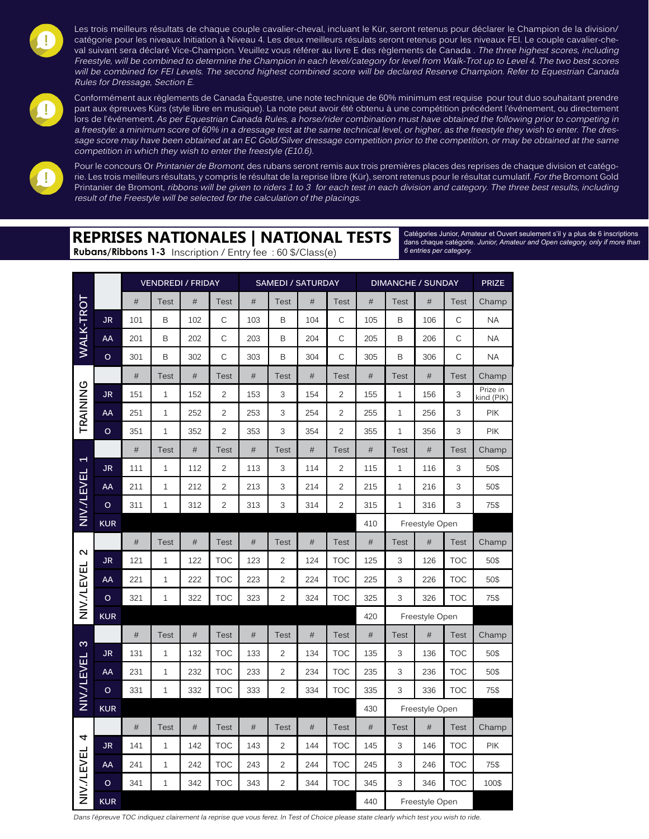

Les trois meilleurs résultats de chaque couple cavalier-cheval, incluant le Kür, seront retenus pour déclarer le Champion de la division/ catégorie pour les niveaux Initiation à Niveau 4. Les deux meilleurs résulats seront retenus pour les niveaux FEI. Le couple cavalier-cheval suivant sera déclaré Vice-Champion. Veuillez vous référer au livre E des règlements de Canada. The three highest scores, including Freestyle, will be combined to determine the Champion in each level/category for level from Walk-Trot up to Level 4. The two best scores will be combined for FEI Levels. The second highest combined score will be declared Reserve Champion. Refer to Equestrian Canada Rules for Dressage, Section E.



Conformément aux règlements de Canada Équestre, une note technique de 60% minimum est requise pour tout duo souhaitant prendre part aux épreuves Kürs (style libre en musique). La note peut avoir été obtenu à une compétition précédent l'événement, ou directement lors de l'événement. As per Equestrian Canada Rules, a horse/rider combination must have obtained the following prior to competing in a freestyle: a minimum score of 60% in a dressage test at the same technical level, or higher, as the freestyle they wish to enter. The dressage score may have been obtained at an EC Gold/Silver dressage competition prior to the competition, or may be obtained at the same competition in which they wish to enter the freestyle (E10.6).



Pour le concours Or Printanier de Bromont, des rubans seront remis aux trois premières places des reprises de chaque division et catégorie. Les trois meilleurs résultats, y compris le résultat de la reprise libre (Kür), seront retenus pour le résultat cumulatif. For the Bromont Gold Printanier de Bromont, ribbons will be given to riders 1 to 3 for each test in each division and category. The three best results, including result of the Freestyle will be selected for the calculation of the placings.

## **REPRISES NATIONALES | NATIONAL TESTS**

**Rubans/Ribbons 1-3** Inscription / Entry fee : 60 \$/Class(e)

Catégories Junior, Amateur et Ouvert seulement s'il y a plus de 6 inscriptions dans chaque catégorie. *Junior, Amateur and Open category, only if more than 6 entries per category.*

|                          |            |      | <b>VENDREDI / FRIDAY</b> |      |                | <b>SAMEDI / SATURDAY</b> |                |      | <b>DIMANCHE / SUNDAY</b> |      |                |                | <b>PRIZE</b> |                        |
|--------------------------|------------|------|--------------------------|------|----------------|--------------------------|----------------|------|--------------------------|------|----------------|----------------|--------------|------------------------|
|                          |            | #    | <b>Test</b>              | #    | <b>Test</b>    | #                        | <b>Test</b>    | #    | Test                     | #    | <b>Test</b>    | #              | <b>Test</b>  | Champ                  |
| WALK-TROT                | JR.        | 101  | B                        | 102  | C              | 103                      | B              | 104  | C                        | 105  | B              | 106            | C            | <b>NA</b>              |
|                          | AA         | 201  | B                        | 202  | C              | 203                      | B              | 204  | C                        | 205  | B              | 206            | C            | <b>NA</b>              |
|                          | $\circ$    | 301  | B                        | 302  | C              | 303                      | B              | 304  | C                        | 305  | B              | 306            | C            | <b>NA</b>              |
|                          |            | $\#$ | Test                     | $\#$ | <b>Test</b>    | $\#$                     | <b>Test</b>    | #    | <b>Test</b>              | $\#$ | <b>Test</b>    | $\#$           | <b>Test</b>  | Champ                  |
| TRAINING                 | <b>JR</b>  | 151  | $\mathbf{1}$             | 152  | $\overline{2}$ | 153                      | 3              | 154  | $\overline{c}$           | 155  | $\mathbf{1}$   | 156            | 3            | Prize in<br>kind (PIK) |
|                          | AA         | 251  | $\mathbf 1$              | 252  | $\overline{c}$ | 253                      | 3              | 254  | $\overline{c}$           | 255  | $\mathbf{1}$   | 256            | 3            | <b>PIK</b>             |
|                          | $\circ$    | 351  | $\mathbf{1}$             | 352  | $\overline{2}$ | 353                      | 3              | 354  | $\overline{2}$           | 355  | $\mathbf{1}$   | 356            | 3            | <b>PIK</b>             |
|                          |            | #    | Test                     | #    | <b>Test</b>    | #                        | <b>Test</b>    | #    | <b>Test</b>              | #    | <b>Test</b>    | #              | <b>Test</b>  | Champ                  |
| $\overline{\phantom{0}}$ | JR.        | 111  | 1                        | 112  | $\overline{c}$ | 113                      | 3              | 114  | 2                        | 115  | $\mathbf{1}$   | 116            | 3            | 50\$                   |
| NIV./LEVEL               | AA         | 211  | $\mathbf{1}$             | 212  | $\overline{2}$ | 213                      | 3              | 214  | $\overline{2}$           | 215  | $\mathbf{1}$   | 216            | 3            | 50\$                   |
|                          | $\circ$    | 311  | 1                        | 312  | $\overline{c}$ | 313                      | 3              | 314  | 2                        | 315  | $\mathbf{1}$   | 316            | 3            | 75\$                   |
|                          | <b>KUR</b> |      |                          |      |                |                          |                |      |                          | 410  |                | Freestyle Open |              |                        |
| $\sim$                   |            | #    | Test                     | $\#$ | <b>Test</b>    | $\#$                     | <b>Test</b>    | #    | <b>Test</b>              | $\#$ | <b>Test</b>    | #              | <b>Test</b>  | Champ                  |
|                          | JR         | 121  | $\mathbf{1}$             | 122  | <b>TOC</b>     | 123                      | $\overline{2}$ | 124  | <b>TOC</b>               | 125  | 3              | 126            | <b>TOC</b>   | 50\$                   |
|                          | AA         | 221  | $\mathbf{1}$             | 222  | <b>TOC</b>     | 223                      | $\overline{2}$ | 224  | <b>TOC</b>               | 225  | 3              | 226            | <b>TOC</b>   | 50\$                   |
| NIV./LEVEL               | $\circ$    | 321  | $\mathbf{1}$             | 322  | <b>TOC</b>     | 323                      | $\overline{2}$ | 324  | <b>TOC</b>               | 325  | 3              | 326            | <b>TOC</b>   | 75\$                   |
|                          | <b>KUR</b> |      |                          |      |                |                          |                |      |                          | 420  | Freestyle Open |                |              |                        |
| $\infty$                 |            | #    | <b>Test</b>              | #    | <b>Test</b>    | #                        | <b>Test</b>    | $\#$ | <b>Test</b>              | #    | <b>Test</b>    | #              | <b>Test</b>  | Champ                  |
|                          | JR         | 131  | $\mathbf{1}$             | 132  | <b>TOC</b>     | 133                      | $\overline{2}$ | 134  | <b>TOC</b>               | 135  | 3              | 136            | <b>TOC</b>   | 50\$                   |
| NIV./LEVEL               | AA         | 231  | $1\,$                    | 232  | <b>TOC</b>     | 233                      | $\overline{c}$ | 234  | <b>TOC</b>               | 235  | 3              | 236            | <b>TOC</b>   | 50\$                   |
|                          | $\circ$    | 331  | $\mathbf{1}$             | 332  | <b>TOC</b>     | 333                      | $\overline{2}$ | 334  | <b>TOC</b>               | 335  | 3              | 336            | <b>TOC</b>   | 75\$                   |
|                          | <b>KUR</b> |      |                          |      |                |                          |                |      |                          | 430  |                | Freestyle Open |              |                        |
| 4                        |            | $\#$ | <b>Test</b>              | $\#$ | <b>Test</b>    | $\#$                     | <b>Test</b>    | #    | <b>Test</b>              | $\#$ | <b>Test</b>    | #              | <b>Test</b>  | Champ                  |
|                          | <b>JR</b>  | 141  | $\mathbf{1}$             | 142  | <b>TOC</b>     | 143                      | $\overline{2}$ | 144  | <b>TOC</b>               | 145  | 3              | 146            | <b>TOC</b>   | <b>PIK</b>             |
|                          | AA         | 241  | $\mathbf{1}$             | 242  | <b>TOC</b>     | 243                      | $\overline{2}$ | 244  | <b>TOC</b>               | 245  | 3              | 246            | <b>TOC</b>   | 75\$                   |
| NIV./LEVEL               | $\circ$    | 341  | $\mathbf{1}$             | 342  | <b>TOC</b>     | 343                      | $\overline{c}$ | 344  | <b>TOC</b>               | 345  | 3              | 346            | <b>TOC</b>   | 100\$                  |
|                          | <b>KUR</b> |      |                          |      |                |                          |                |      |                          | 440  |                | Freestyle Open |              |                        |

Dans l'épreuve TOC indiquez clairement la reprise que vous ferez. In Test of Choice please state clearly which test you wish to ride.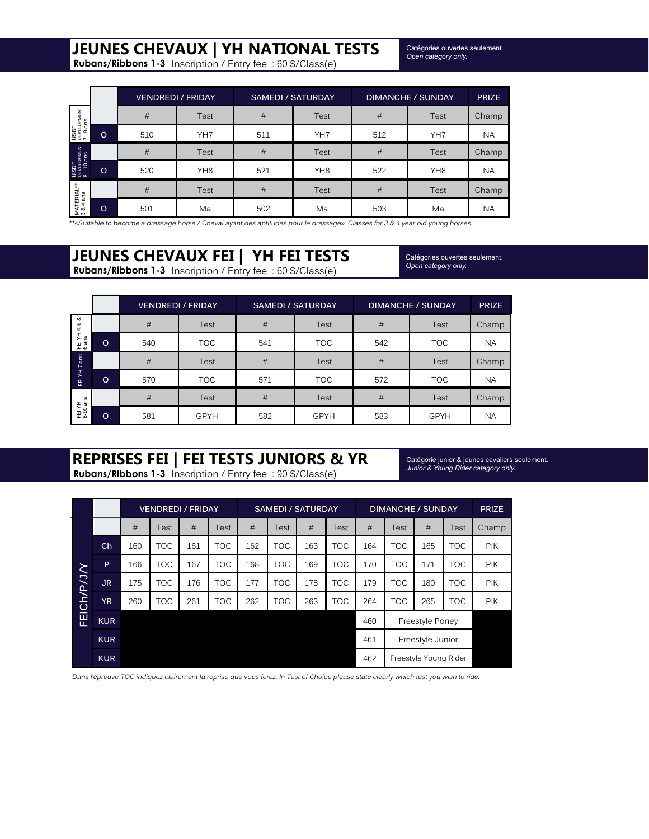# **JEUNES CHEVAUX | YH NATIONAL TESTS**

**Rubans/Ribbons 1-3** Inscription / Entry fee : 60 \$/Class(e)

Catégories ouvertes seulement. *Open category only.*

|                                              |         | <b>VENDREDI / FRIDAY</b> |                 | <b>SAMEDI / SATURDAY</b> |                 | <b>DIMANCHE / SUNDAY</b> | <b>PRIZE</b>    |                    |
|----------------------------------------------|---------|--------------------------|-----------------|--------------------------|-----------------|--------------------------|-----------------|--------------------|
| USDF<br>DEVELOPMENT<br>7 - 9 ans             |         | #                        | <b>Test</b>     | #                        | <b>Test</b>     | #                        | Test            | Champ <sup>7</sup> |
|                                              | $\circ$ | 510                      | YH7             | 511                      | YH7             | 512                      | YH7             | <b>NA</b>          |
|                                              |         | #                        | <b>Test</b>     | #                        | <b>Test</b>     | #                        | Test            | Champ              |
| USDF<br><sup>DEVELOPMENT</sup><br>8 - 10 ans | $\circ$ | 520                      | YH <sub>8</sub> | 521                      | YH <sub>8</sub> | 522                      | YH <sub>8</sub> | <b>NA</b>          |
|                                              |         | #                        | <b>Test</b>     | #                        | Test            | #                        | Test            | Champ              |
| MATERIAL**<br>3 & 4 ans                      | $\circ$ | 501                      | Ma              | 502                      | Ma              | 503                      | Ma              | <b>NA</b>          |

\*\*«Suitable to become a dressage horse / Cheval ayant des aptitudes pour le dressage». Classes for 3 & 4 year old young horses.

# **JEUNES CHEVAUX FEI | YH FEI TESTS**

**Rubans/Ribbons 1-3** Inscription / Entry fee : 60 \$/Class(e)

Catégories ouvertes seulement. *Open category only.*

|                       |         |     | <b>VENDREDI / FRIDAY</b> |     | <b>SAMEDI / SATURDAY</b> | <b>DIMANCHE / SUNDAY</b> | <b>PRIZE</b> |           |
|-----------------------|---------|-----|--------------------------|-----|--------------------------|--------------------------|--------------|-----------|
| ಳ<br>4,5              |         | #   | <b>Test</b>              | #   | <b>Test</b>              | #                        | Test         | Champ     |
| FEI YH .<br>6 ans     | $\circ$ | 540 | <b>TOC</b>               | 541 | <b>TOC</b>               | 542                      | <b>TOC</b>   | <b>NA</b> |
| ans<br>$\overline{ }$ |         | #   | <b>Test</b>              | #   | <b>Test</b>              | #                        | Test         | Champ     |
| £<br>훋                | $\circ$ | 570 | <b>TOC</b>               | 571 | <b>TOC</b>               | 572                      | <b>TOC</b>   | <b>NA</b> |
|                       |         | #   | <b>Test</b>              | #   | Test                     | #                        | Test         | Champ     |
| FEI YH<br>8-10 ans    | $\circ$ | 581 | <b>GPYH</b>              | 582 | <b>GPYH</b>              | 583                      | <b>GPYH</b>  | <b>NA</b> |

# **REPRISES FEI | FEI TESTS JUNIORS & YR**

**Rubans/Ribbons 1-3** Inscription / Entry fee : 90 \$/Class(e)

Catégorie junior & jeunes cavaliers seulement. *Junior & Young Rider category only.*

|                    | <b>VENDREDI / FRIDAY</b> |     |            |     |            | <b>SAMEDI / SATURDAY</b> |            |     | <b>DIMANCHE / SUNDAY</b> |     |            |                       | <b>PRIZE</b> |            |
|--------------------|--------------------------|-----|------------|-----|------------|--------------------------|------------|-----|--------------------------|-----|------------|-----------------------|--------------|------------|
| <b>FEICh/P/J/Y</b> |                          | #   | Test       | #   | Test       | #                        | Test       | #   | Test                     | #   | Test       | #                     | Test         | Champ      |
|                    | Ch                       | 160 | <b>TOC</b> | 161 | <b>TOC</b> | 162                      | <b>TOC</b> | 163 | <b>TOC</b>               | 164 | <b>TOC</b> | 165                   | <b>TOC</b>   | <b>PIK</b> |
|                    | P                        | 166 | <b>TOC</b> | 167 | TOC        | 168                      | <b>TOC</b> | 169 | TOC                      | 170 | <b>TOC</b> | 171                   | TOC          | <b>PIK</b> |
|                    | JR.                      | 175 | <b>TOC</b> | 176 | <b>TOC</b> | 177                      | <b>TOC</b> | 178 | <b>TOC</b>               | 179 | <b>TOC</b> | 180                   | <b>TOC</b>   | <b>PIK</b> |
|                    | <b>YR</b>                | 260 | <b>TOC</b> | 261 | <b>TOC</b> | 262                      | <b>TOC</b> | 263 | <b>TOC</b>               | 264 | <b>TOC</b> | 265                   | <b>TOC</b>   | PIK        |
|                    | <b>KUR</b>               |     |            |     |            |                          |            |     |                          | 460 |            | Freestyle Poney       |              |            |
|                    | <b>KUR</b>               |     |            |     |            |                          |            |     |                          | 461 |            | Freestyle Junior      |              |            |
|                    | <b>KUR</b>               |     |            |     |            |                          |            |     |                          | 462 |            | Freestyle Young Rider |              |            |

Dans l'épreuve TOC indiquez clairement la reprise que vous ferez. In Test of Choice please state clearly which test you wish to ride.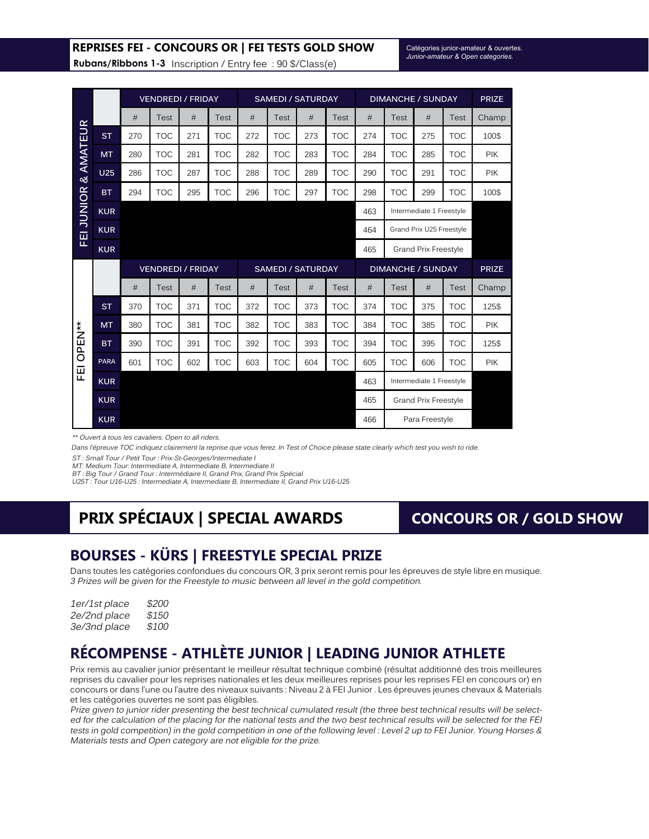#### **REPRISES FEI - CONCOURS OR | FEI TESTS GOLD SHOW**

Catégories junior-amateur & ouvertes. *Junior-amateur & Open categories.*

**Rubans/Ribbons 1-3** Inscription / Entry fee : 90 \$/Class(e)

|                      |             |     | <b>VENDREDI / FRIDAY</b> |     |             | <b>SAMEDI / SATURDAY</b> |             |     |            | <b>DIMANCHE / SUNDAY</b> |            |                          |              | <b>PRIZE</b> |
|----------------------|-------------|-----|--------------------------|-----|-------------|--------------------------|-------------|-----|------------|--------------------------|------------|--------------------------|--------------|--------------|
|                      |             | #   | Test                     | #   | <b>Test</b> | #                        | Test        | #   | Test       | #                        | Test       | #                        | Test         | Champ        |
| FEI JUNIOR & AMATEUR | <b>ST</b>   | 270 | <b>TOC</b>               | 271 | <b>TOC</b>  | 272                      | <b>TOC</b>  | 273 | <b>TOC</b> | 274                      | <b>TOC</b> | 275                      | <b>TOC</b>   | 100\$        |
|                      | <b>MT</b>   | 280 | <b>TOC</b>               | 281 | <b>TOC</b>  | 282                      | <b>TOC</b>  | 283 | <b>TOC</b> | 284                      | <b>TOC</b> | 285                      | <b>TOC</b>   | <b>PIK</b>   |
|                      | <b>U25</b>  | 286 | <b>TOC</b>               | 287 | <b>TOC</b>  | 288                      | <b>TOC</b>  | 289 | <b>TOC</b> | 290                      | <b>TOC</b> | 291                      | <b>TOC</b>   | <b>PIK</b>   |
|                      | <b>BT</b>   | 294 | <b>TOC</b>               | 295 | <b>TOC</b>  | 296                      | <b>TOC</b>  | 297 | <b>TOC</b> | 298                      | <b>TOC</b> | 299                      | <b>TOC</b>   | 100\$        |
|                      | <b>KUR</b>  |     |                          |     |             |                          |             |     |            | 463                      |            | Intermediate 1 Freestyle |              |              |
|                      | <b>KUR</b>  |     |                          |     |             |                          |             |     |            | 464                      |            | Grand Prix U25 Freestyle |              |              |
|                      | <b>KUR</b>  |     |                          |     |             |                          |             |     |            | 465                      |            | Grand Prix Freestyle     |              |              |
|                      |             |     | <b>VENDREDI / FRIDAY</b> |     |             | <b>SAMEDI / SATURDAY</b> |             |     |            | <b>DIMANCHE / SUNDAY</b> |            |                          | <b>PRIZE</b> |              |
|                      |             | #   | <b>Test</b>              | #   | <b>Test</b> | #                        | <b>Test</b> | #   | Test       | #                        | Test       | #                        | Test         | Champ        |
|                      | <b>ST</b>   | 370 | <b>TOC</b>               | 371 | <b>TOC</b>  | 372                      | <b>TOC</b>  | 373 | <b>TOC</b> | 374                      | <b>TOC</b> | 375                      | <b>TOC</b>   | 125\$        |
|                      | <b>MT</b>   | 380 | <b>TOC</b>               | 381 | <b>TOC</b>  | 382                      | <b>TOC</b>  | 383 | <b>TOC</b> | 384                      | <b>TOC</b> | 385                      | <b>TOC</b>   | <b>PIK</b>   |
| OPEN**               | <b>BT</b>   | 390 | <b>TOC</b>               | 391 | <b>TOC</b>  | 392                      | <b>TOC</b>  | 393 | <b>TOC</b> | 394                      | <b>TOC</b> | 395                      | <b>TOC</b>   | 125\$        |
|                      | <b>PARA</b> | 601 | <b>TOC</b>               | 602 | <b>TOC</b>  | 603                      | <b>TOC</b>  | 604 | <b>TOC</b> | 605                      | <b>TOC</b> | 606                      | <b>TOC</b>   | <b>PIK</b>   |
| 匣                    | <b>KUR</b>  |     |                          |     |             |                          |             |     |            | 463                      |            | Intermediate 1 Freestyle |              |              |
|                      | <b>KUR</b>  |     |                          |     |             |                          |             |     |            | 465                      |            | Grand Prix Freestyle     |              |              |
|                      | <b>KUR</b>  |     |                          |     |             |                          |             |     |            | 466                      |            | Para Freestyle           |              |              |

\*\* Ouvert à tous les cavaliers. Open to all riders.

Dans l'épreuve TOC indiquez clairement la reprise que vous ferez. In Test of Choice please state clearly which test you wish to ride.

ST : Small Tour / Petit Tour : Prix-St-Georges/Intermediate I

MT: Medium Tour: Intermediate A, Intermediate B, Intermediate II

BT : Big Tour / Grand Tour : Intermédiaire II, Grand Prix, Grand Prix Spécial

U25T : Tour U16-U25 : Intermediate A, Intermediate B, Intermediate II, Grand Prix U16-U25

# **PRIX SPÉCIAUX | SPECIAL AWARDS**

### **CONCOURS OR / GOLD SHOW**

### **BOURSES - KÜRS | FREESTYLE SPECIAL PRIZE**

Dans toutes les catégories confondues du concours OR, 3 prix seront remis pour les épreuves de style libre en musique. 3 Prizes will be given for the Freestyle to music between all level in the gold competition.

| 1er/1st place | \$200 |
|---------------|-------|
| 2e/2nd place  | \$150 |
| 3e/3nd place  | \$100 |

### **RÉCOMPENSE - ATHLÈTE JUNIOR | LEADING JUNIOR ATHLETE**

Prix remis au cavalier junior présentant le meilleur résultat technique combiné (résultat additionné des trois meilleures reprises du cavalier pour les reprises nationales et les deux meilleures reprises pour les reprises FEI en concours or) en concours or dans l'une ou l'autre des niveaux suivants : Niveau 2 à FEI Junior . Les épreuves jeunes chevaux & Materials et les catégories ouvertes ne sont pas éligibles.

Prize given to junior rider presenting the best technical cumulated result (the three best technical results will be selected for the calculation of the placing for the national tests and the two best technical results will be selected for the FEI tests in gold competition) in the gold competition in one of the following level : Level 2 up to FEI Junior. Young Horses & Materials tests and Open category are not eligible for the prize.